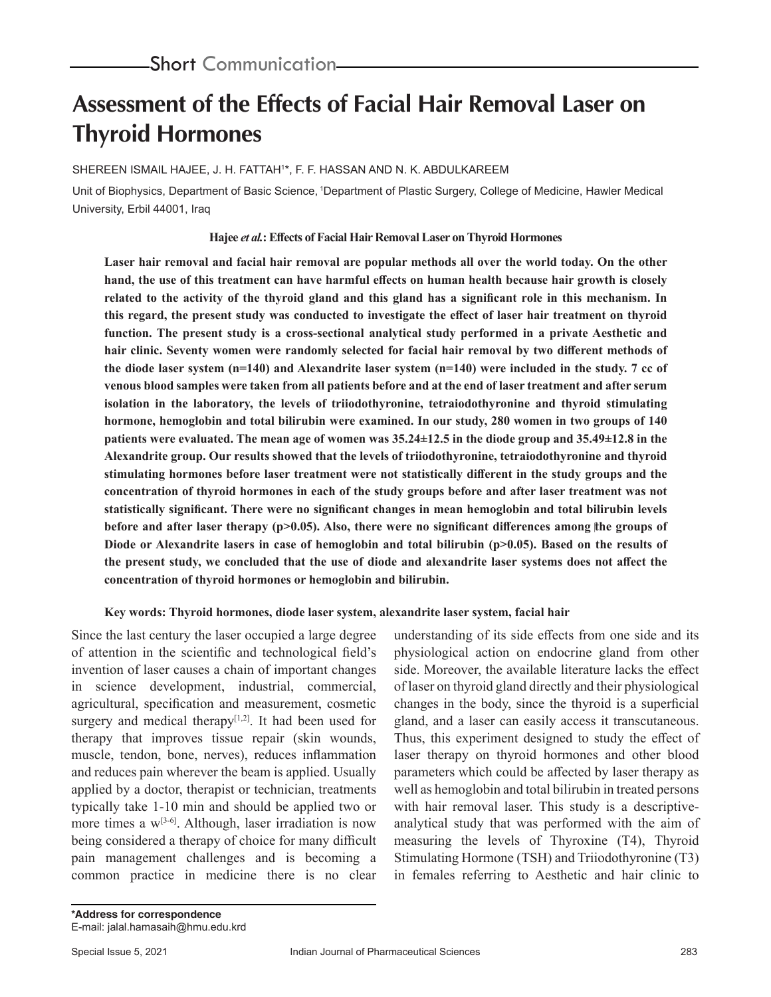# **Assessment of the Effects of Facial Hair Removal Laser on Thyroid Hormones**

## SHEREEN ISMAIL HAJEE, J. H. FATTAH1\*, F. F. HASSAN AND N. K. ABDULKAREEM

Unit of Biophysics, Department of Basic Science, 1Department of Plastic Surgery, College of Medicine, Hawler Medical University, Erbil 44001, Iraq

### **Hajee** *et al.***: Effects of Facial Hair Removal Laser on Thyroid Hormones**

**Laser hair removal and facial hair removal are popular methods all over the world today. On the other hand, the use of this treatment can have harmful effects on human health because hair growth is closely related to the activity of the thyroid gland and this gland has a significant role in this mechanism. In this regard, the present study was conducted to investigate the effect of laser hair treatment on thyroid function. The present study is a cross-sectional analytical study performed in a private Aesthetic and hair clinic. Seventy women were randomly selected for facial hair removal by two different methods of the diode laser system (n=140) and Alexandrite laser system (n=140) were included in the study. 7 cc of venous blood samples were taken from all patients before and at the end of laser treatment and after serum isolation in the laboratory, the levels of triiodothyronine, tetraiodothyronine and thyroid stimulating hormone, hemoglobin and total bilirubin were examined. In our study, 280 women in two groups of 140 patients were evaluated. The mean age of women was 35.24±12.5 in the diode group and 35.49±12.8 in the Alexandrite group. Our results showed that the levels of triiodothyronine, tetraiodothyronine and thyroid stimulating hormones before laser treatment were not statistically different in the study groups and the concentration of thyroid hormones in each of the study groups before and after laser treatment was not statistically significant. There were no significant changes in mean hemoglobin and total bilirubin levels**  before and after laser therapy (p>0.05). Also, there were no significant differences among the groups of Diode or Alexandrite lasers in case of hemoglobin and total bilirubin (p>0.05). Based on the results of **the present study, we concluded that the use of diode and alexandrite laser systems does not affect the concentration of thyroid hormones or hemoglobin and bilirubin.**

### **Key words: Thyroid hormones, diode laser system, alexandrite laser system, facial hair**

Since the last century the laser occupied a large degree of attention in the scientific and technological field's invention of laser causes a chain of important changes in science development, industrial, commercial, agricultural, specification and measurement, cosmetic surgery and medical therapy $[1,2]$ . It had been used for therapy that improves tissue repair (skin wounds, muscle, tendon, bone, nerves), reduces inflammation and reduces pain wherever the beam is applied. Usually applied by a doctor, therapist or technician, treatments typically take 1-10 min and should be applied two or more times a  $w^{[3-6]}$ . Although, laser irradiation is now being considered a therapy of choice for many difficult pain management challenges and is becoming a common practice in medicine there is no clear understanding of its side effects from one side and its physiological action on endocrine gland from other side. Moreover, the available literature lacks the effect of laser on thyroid gland directly and their physiological changes in the body, since the thyroid is a superficial gland, and a laser can easily access it transcutaneous. Thus, this experiment designed to study the effect of laser therapy on thyroid hormones and other blood parameters which could be affected by laser therapy as well as hemoglobin and total bilirubin in treated persons with hair removal laser. This study is a descriptiveanalytical study that was performed with the aim of measuring the levels of Thyroxine (T4), Thyroid Stimulating Hormone (TSH) and Triiodothyronine (T3) in females referring to Aesthetic and hair clinic to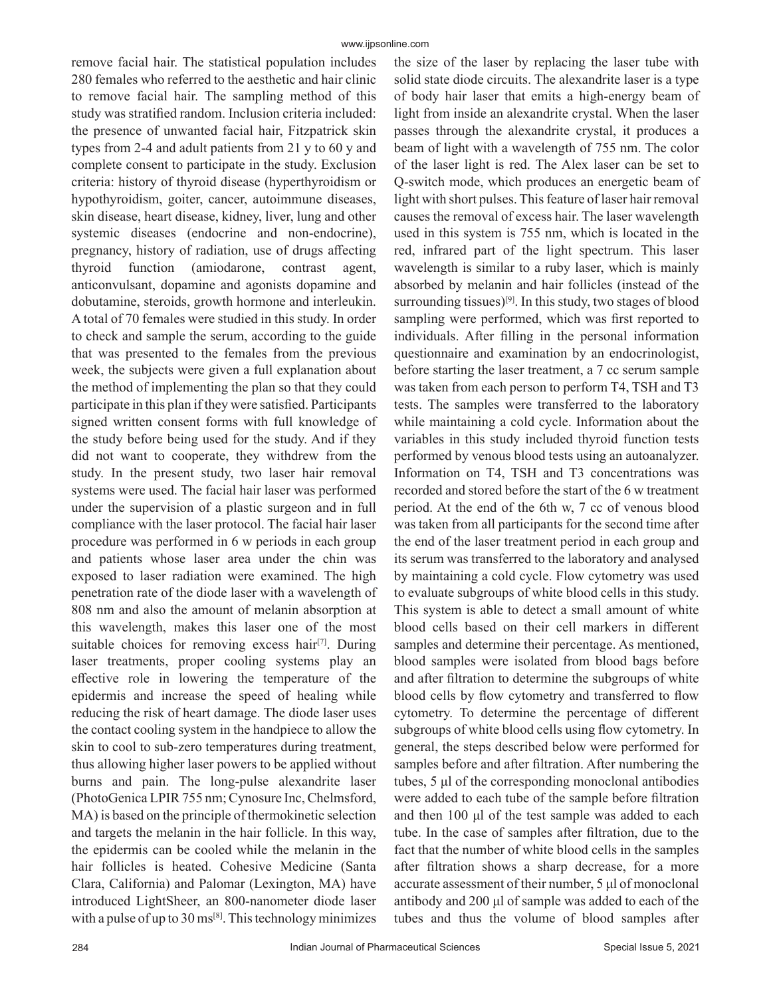remove facial hair. The statistical population includes 280 females who referred to the aesthetic and hair clinic to remove facial hair. The sampling method of this study was stratified random. Inclusion criteria included: the presence of unwanted facial hair, Fitzpatrick skin types from 2-4 and adult patients from 21 y to 60 y and complete consent to participate in the study. Exclusion criteria: history of thyroid disease (hyperthyroidism or hypothyroidism, goiter, cancer, autoimmune diseases, skin disease, heart disease, kidney, liver, lung and other systemic diseases (endocrine and non-endocrine), pregnancy, history of radiation, use of drugs affecting thyroid function (amiodarone, contrast agent, anticonvulsant, dopamine and agonists dopamine and dobutamine, steroids, growth hormone and interleukin. A total of 70 females were studied in this study. In order to check and sample the serum, according to the guide that was presented to the females from the previous week, the subjects were given a full explanation about the method of implementing the plan so that they could participate in this plan if they were satisfied. Participants signed written consent forms with full knowledge of the study before being used for the study. And if they did not want to cooperate, they withdrew from the study. In the present study, two laser hair removal systems were used. The facial hair laser was performed under the supervision of a plastic surgeon and in full compliance with the laser protocol. The facial hair laser procedure was performed in 6 w periods in each group and patients whose laser area under the chin was exposed to laser radiation were examined. The high penetration rate of the diode laser with a wavelength of 808 nm and also the amount of melanin absorption at this wavelength, makes this laser one of the most suitable choices for removing excess hair<sup>[7]</sup>. During laser treatments, proper cooling systems play an effective role in lowering the temperature of the epidermis and increase the speed of healing while reducing the risk of heart damage. The diode laser uses the contact cooling system in the handpiece to allow the skin to cool to sub-zero temperatures during treatment, thus allowing higher laser powers to be applied without burns and pain. The long-pulse alexandrite laser (PhotoGenica LPIR 755 nm; Cynosure Inc, Chelmsford, MA) is based on the principle of thermokinetic selection and targets the melanin in the hair follicle. In this way, the epidermis can be cooled while the melanin in the hair follicles is heated. Cohesive Medicine (Santa Clara, California) and Palomar (Lexington, MA) have introduced LightSheer, an 800-nanometer diode laser with a pulse of up to 30 ms<sup>[8]</sup>. This technology minimizes the size of the laser by replacing the laser tube with solid state diode circuits. The alexandrite laser is a type of body hair laser that emits a high-energy beam of light from inside an alexandrite crystal. When the laser passes through the alexandrite crystal, it produces a beam of light with a wavelength of 755 nm. The color of the laser light is red. The Alex laser can be set to Q-switch mode, which produces an energetic beam of light with short pulses. This feature of laser hair removal causes the removal of excess hair. The laser wavelength used in this system is 755 nm, which is located in the red, infrared part of the light spectrum. This laser wavelength is similar to a ruby laser, which is mainly absorbed by melanin and hair follicles (instead of the surrounding tissues)<sup>[9]</sup>. In this study, two stages of blood sampling were performed, which was first reported to individuals. After filling in the personal information questionnaire and examination by an endocrinologist, before starting the laser treatment, a 7 cc serum sample was taken from each person to perform T4, TSH and T3 tests. The samples were transferred to the laboratory while maintaining a cold cycle. Information about the variables in this study included thyroid function tests performed by venous blood tests using an autoanalyzer. Information on T4, TSH and T3 concentrations was recorded and stored before the start of the 6 w treatment period. At the end of the 6th w, 7 cc of venous blood was taken from all participants for the second time after the end of the laser treatment period in each group and its serum was transferred to the laboratory and analysed by maintaining a cold cycle. Flow cytometry was used to evaluate subgroups of white blood cells in this study. This system is able to detect a small amount of white blood cells based on their cell markers in different samples and determine their percentage. As mentioned, blood samples were isolated from blood bags before and after filtration to determine the subgroups of white blood cells by flow cytometry and transferred to flow cytometry. To determine the percentage of different subgroups of white blood cells using flow cytometry. In general, the steps described below were performed for samples before and after filtration. After numbering the tubes, 5 μl of the corresponding monoclonal antibodies were added to each tube of the sample before filtration and then 100 μl of the test sample was added to each tube. In the case of samples after filtration, due to the fact that the number of white blood cells in the samples after filtration shows a sharp decrease, for a more accurate assessment of their number, 5 μl of monoclonal antibody and 200 μl of sample was added to each of the tubes and thus the volume of blood samples after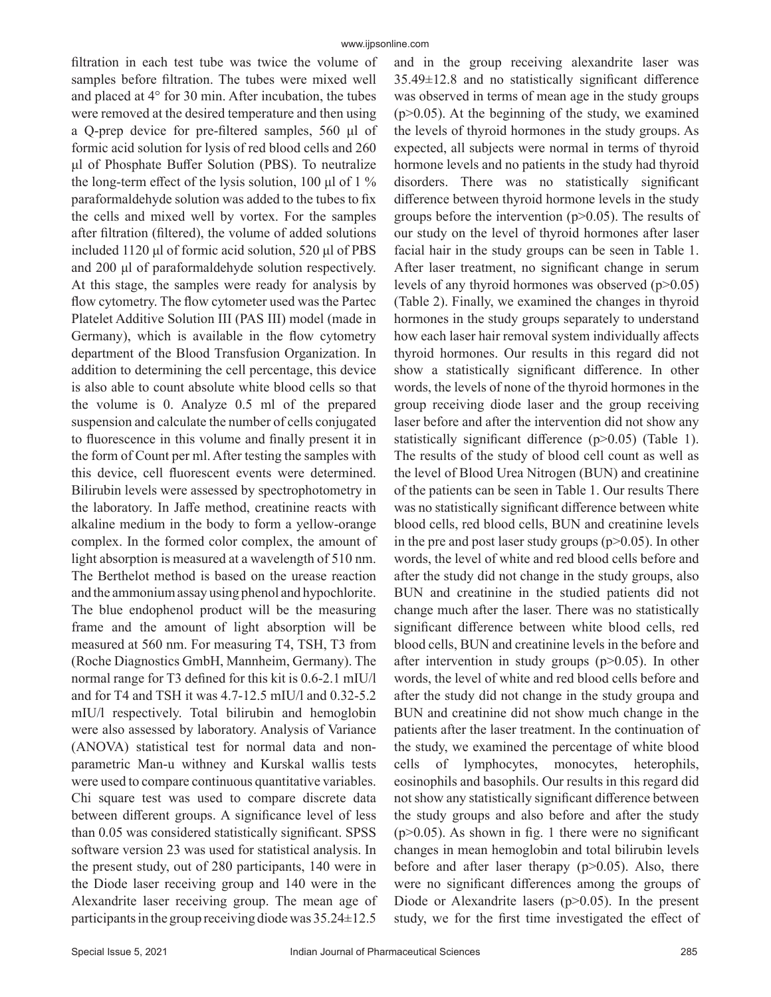filtration in each test tube was twice the volume of samples before filtration. The tubes were mixed well and placed at 4° for 30 min. After incubation, the tubes were removed at the desired temperature and then using a Q-prep device for pre-filtered samples, 560 μl of formic acid solution for lysis of red blood cells and 260 μl of Phosphate Buffer Solution (PBS). To neutralize the long-term effect of the lysis solution, 100 μl of 1 % paraformaldehyde solution was added to the tubes to fix the cells and mixed well by vortex. For the samples after filtration (filtered), the volume of added solutions included 1120 μl of formic acid solution, 520 μl of PBS and 200 μl of paraformaldehyde solution respectively. At this stage, the samples were ready for analysis by flow cytometry. The flow cytometer used was the Partec Platelet Additive Solution III (PAS III) model (made in Germany), which is available in the flow cytometry department of the Blood Transfusion Organization. In addition to determining the cell percentage, this device is also able to count absolute white blood cells so that the volume is 0. Analyze 0.5 ml of the prepared suspension and calculate the number of cells conjugated to fluorescence in this volume and finally present it in the form of Count per ml. After testing the samples with this device, cell fluorescent events were determined. Bilirubin levels were assessed by spectrophotometry in the laboratory. In Jaffe method, creatinine reacts with alkaline medium in the body to form a yellow-orange complex. In the formed color complex, the amount of light absorption is measured at a wavelength of 510 nm. The Berthelot method is based on the urease reaction and the ammonium assay using phenol and hypochlorite. The blue endophenol product will be the measuring frame and the amount of light absorption will be measured at 560 nm. For measuring T4, TSH, T3 from (Roche Diagnostics GmbH, Mannheim, Germany). The normal range for T3 defined for this kit is 0.6-2.1 mIU/l and for T4 and TSH it was 4.7-12.5 mIU/l and 0.32-5.2 mIU/l respectively. Total bilirubin and hemoglobin were also assessed by laboratory. Analysis of Variance (ANOVA) statistical test for normal data and nonparametric Man-u withney and Kurskal wallis tests were used to compare continuous quantitative variables. Chi square test was used to compare discrete data between different groups. A significance level of less than 0.05 was considered statistically significant. SPSS software version 23 was used for statistical analysis. In the present study, out of 280 participants, 140 were in the Diode laser receiving group and 140 were in the Alexandrite laser receiving group. The mean age of participants in the group receiving diode was 35.24±12.5

and in the group receiving alexandrite laser was 35.49±12.8 and no statistically significant difference was observed in terms of mean age in the study groups  $(p>0.05)$ . At the beginning of the study, we examined the levels of thyroid hormones in the study groups. As expected, all subjects were normal in terms of thyroid hormone levels and no patients in the study had thyroid disorders. There was no statistically significant difference between thyroid hormone levels in the study groups before the intervention  $(p>0.05)$ . The results of our study on the level of thyroid hormones after laser facial hair in the study groups can be seen in Table 1. After laser treatment, no significant change in serum levels of any thyroid hormones was observed  $(p>0.05)$ (Table 2). Finally, we examined the changes in thyroid hormones in the study groups separately to understand how each laser hair removal system individually affects thyroid hormones. Our results in this regard did not show a statistically significant difference. In other words, the levels of none of the thyroid hormones in the group receiving diode laser and the group receiving laser before and after the intervention did not show any statistically significant difference (p>0.05) (Table 1). The results of the study of blood cell count as well as the level of Blood Urea Nitrogen (BUN) and creatinine of the patients can be seen in Table 1. Our results There was no statistically significant difference between white blood cells, red blood cells, BUN and creatinine levels in the pre and post laser study groups  $(p>0.05)$ . In other words, the level of white and red blood cells before and after the study did not change in the study groups, also BUN and creatinine in the studied patients did not change much after the laser. There was no statistically significant difference between white blood cells, red blood cells, BUN and creatinine levels in the before and after intervention in study groups  $(p>0.05)$ . In other words, the level of white and red blood cells before and after the study did not change in the study groupa and BUN and creatinine did not show much change in the patients after the laser treatment. In the continuation of the study, we examined the percentage of white blood cells of lymphocytes, monocytes, heterophils, eosinophils and basophils. Our results in this regard did not show any statistically significant difference between the study groups and also before and after the study  $(p>0.05)$ . As shown in fig. 1 there were no significant changes in mean hemoglobin and total bilirubin levels before and after laser therapy  $(p>0.05)$ . Also, there were no significant differences among the groups of Diode or Alexandrite lasers (p>0.05). In the present study, we for the first time investigated the effect of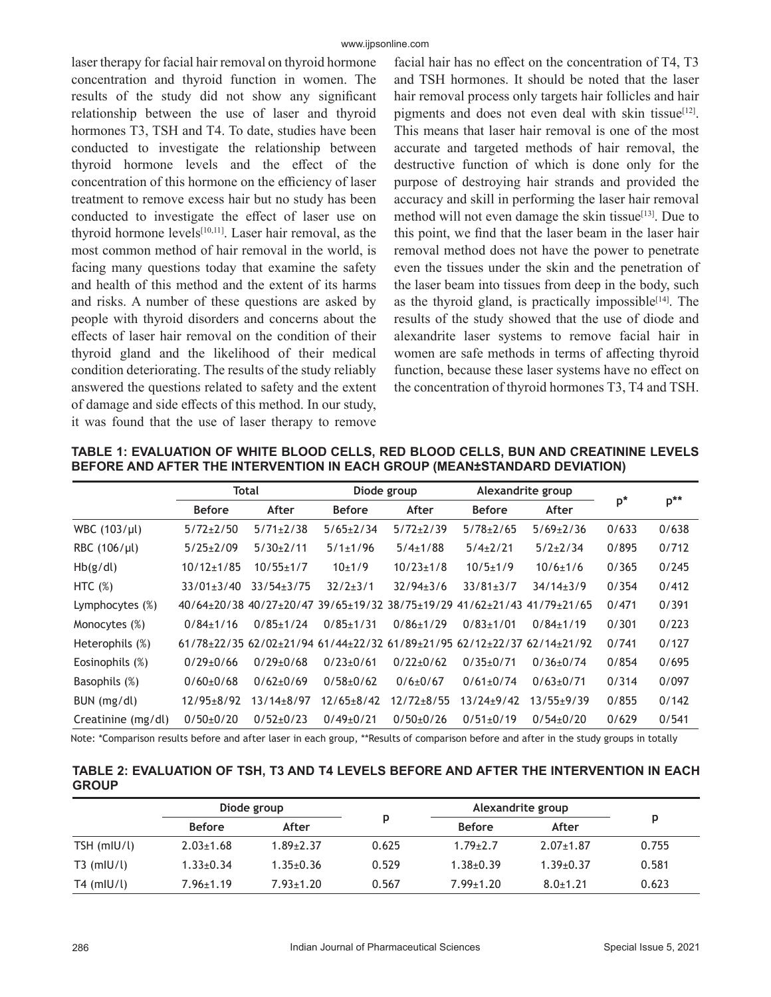laser therapy for facial hair removal on thyroid hormone concentration and thyroid function in women. The results of the study did not show any significant relationship between the use of laser and thyroid hormones T3, TSH and T4. To date, studies have been conducted to investigate the relationship between thyroid hormone levels and the effect of the concentration of this hormone on the efficiency of laser treatment to remove excess hair but no study has been conducted to investigate the effect of laser use on thyroid hormone levels[10,11]. Laser hair removal, as the most common method of hair removal in the world, is facing many questions today that examine the safety and health of this method and the extent of its harms and risks. A number of these questions are asked by people with thyroid disorders and concerns about the effects of laser hair removal on the condition of their thyroid gland and the likelihood of their medical condition deteriorating. The results of the study reliably answered the questions related to safety and the extent of damage and side effects of this method. In our study, it was found that the use of laser therapy to remove facial hair has no effect on the concentration of T4, T3 and TSH hormones. It should be noted that the laser hair removal process only targets hair follicles and hair pigments and does not even deal with skin tissue<sup>[12]</sup>. This means that laser hair removal is one of the most accurate and targeted methods of hair removal, the destructive function of which is done only for the purpose of destroying hair strands and provided the accuracy and skill in performing the laser hair removal method will not even damage the skin tissue<sup>[13]</sup>. Due to this point, we find that the laser beam in the laser hair removal method does not have the power to penetrate even the tissues under the skin and the penetration of the laser beam into tissues from deep in the body, such as the thyroid gland, is practically impossible $[14]$ . The results of the study showed that the use of diode and alexandrite laser systems to remove facial hair in women are safe methods in terms of affecting thyroid function, because these laser systems have no effect on the concentration of thyroid hormones T3, T4 and TSH.

**TABLE 1: EVALUATION OF WHITE BLOOD CELLS, RED BLOOD CELLS, BUN AND CREATININE LEVELS BEFORE AND AFTER THE INTERVENTION IN EACH GROUP (MEAN±STANDARD DEVIATION)**

|                    | Total            |                  | Diode group                                                                                                 |                 | Alexandrite group |                        |       |          |
|--------------------|------------------|------------------|-------------------------------------------------------------------------------------------------------------|-----------------|-------------------|------------------------|-------|----------|
|                    | <b>Before</b>    | After            | <b>Before</b>                                                                                               | After           | <b>Before</b>     | After                  | $p^*$ | $p^{**}$ |
| WBC (103/µl)       | $5/72 + 2/50$    | $5/71 + 2/38$    | $5/65+2/34$                                                                                                 | $5/72 + 2/39$   | $5/78 + 2/65$     | $5/69 + 2/36$          | 0/633 | 0/638    |
| RBC (106/µl)       | $5/25+2/09$      | $5/30+2/11$      | $5/1 \pm 1/96$                                                                                              | $5/4 \pm 1/88$  | $5/4 \pm 2/21$    | $5/2 + 2/34$           | 0/895 | 0/712    |
| Hb(g/dl)           | $10/12 \pm 1/85$ | $10/55 \pm 1/7$  | $10+1/9$                                                                                                    | $10/23 \pm 1/8$ | $10/5 \pm 1/9$    | $10/6 \pm 1/6$         | 0/365 | 0/245    |
| HTC $(\%)$         | $33/01 \pm 3/40$ | $33/54 \pm 3/75$ | $32/2+3/1$                                                                                                  | $32/94 \pm 3/6$ | $33/81 \pm 3/7$   | $34/14 \pm 3/9$        | 0/354 | 0/412    |
| Lymphocytes (%)    |                  |                  | $40/64 \pm 20/38$ $40/27 \pm 20/47$ $39/65 \pm 19/32$ $38/75 \pm 19/29$ $41/62 \pm 21/43$ $41/79 \pm 21/65$ |                 |                   |                        | 0/471 | 0/391    |
| Monocytes (%)      | $0/84\pm1/16$    | $0/85+1/24$      | $0/85+1/31$                                                                                                 | $0/86+1/29$     | $0/83+1/01$       | 0/84 <sub>±</sub> 1/19 | 0/301 | 0/223    |
| Heterophils (%)    |                  |                  | $61/78+22/35$ $62/02+21/94$ $61/44+22/32$ $61/89+21/95$ $62/12+22/37$                                       |                 |                   | $62/14 + 21/92$        | 0/741 | 0/127    |
| Eosinophils (%)    | $0/29 + 0/66$    | $0/29 + 0/68$    | $0/23+0/61$                                                                                                 | $0/22+0/62$     | $0/35+0/71$       | $0/36 \pm 0/74$        | 0/854 | 0/695    |
| Basophils (%)      | $0/60+0/68$      | $0/62+0/69$      | $0/58+0/62$                                                                                                 | $0/6+0/67$      | $0/61 \pm 0/74$   | $0/63+0/71$            | 0/314 | 0/097    |
| $BUN$ (mg/dl)      | $12/95 \pm 8/92$ | $13/14+8/97$     | $12/65+8/42$                                                                                                | $12/72 + 8/55$  | $13/24 + 9/42$    | $13/55+9/39$           | 0/855 | 0/142    |
| Creatinine (mg/dl) | $0/50+0/20$      | $0/52 \pm 0/23$  | $0/49+0/21$                                                                                                 | $0/50+0/26$     | $0/51+0/19$       | $0/54\pm0/20$          | 0/629 | 0/541    |

Note: \*Comparison results before and after laser in each group, \*\*Results of comparison before and after in the study groups in totally

## **TABLE 2: EVALUATION OF TSH, T3 AND T4 LEVELS BEFORE AND AFTER THE INTERVENTION IN EACH GROUP**

|               | Diode group     |                 |       | Alexandrite group |                 |       |
|---------------|-----------------|-----------------|-------|-------------------|-----------------|-------|
|               | <b>Before</b>   | After           | D     | <b>Before</b>     | After           | D     |
| TSH $(m U/l)$ | $2.03 \pm 1.68$ | $1.89 \pm 2.37$ | 0.625 | $1.79 + 2.7$      | $2.07 \pm 1.87$ | 0.755 |
| $T3$ (mIU/l)  | $1.33 \pm 0.34$ | $1.35 \pm 0.36$ | 0.529 | $1.38 + 0.39$     | $1.39 \pm 0.37$ | 0.581 |
| $T4$ (mIU/l)  | $7.96 \pm 1.19$ | $7.93 \pm 1.20$ | 0.567 | $7.99 \pm 1.20$   | $8.0 + 1.21$    | 0.623 |